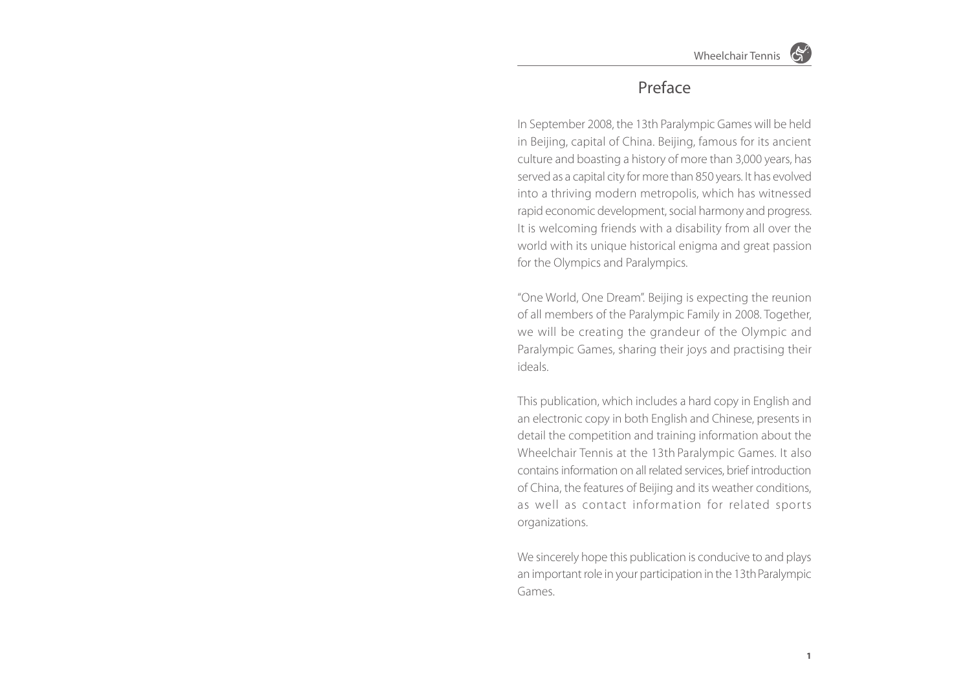# Preface

In September 2008, the 13th Paralympic Games will be held in Beijing, capital of China. Beijing, famous for its ancient culture and boasting a history of more than 3,000 years, has served as a capital city for more than 850 years. It has evolved into a thriving modern metropolis, which has witnessed rapid economic development, social harmony and progress. It is welcoming friends with a disability from all over the world with its unique historical enigma and great passion for the Olympics and Paralympics.

"One World, One Dream". Beijing is expecting the reunion of all members of the Paralympic Family in 2008. Together, we will be creating the grandeur of the Olympic and Paralympic Games, sharing their joys and practising their ideals.

This publication, which includes a hard copy in English and an electronic copy in both English and Chinese, presents in detail the competition and training information about the Wheelchair Tennis at the 13th Paralympic Games. It also contains information on all related services, brief introduction of China, the features of Beijing and its weather conditions, as well as contact information for related sports organizations.

We sincerely hope this publication is conducive to and plays an important role in your participation in the 13th Paralympic Games.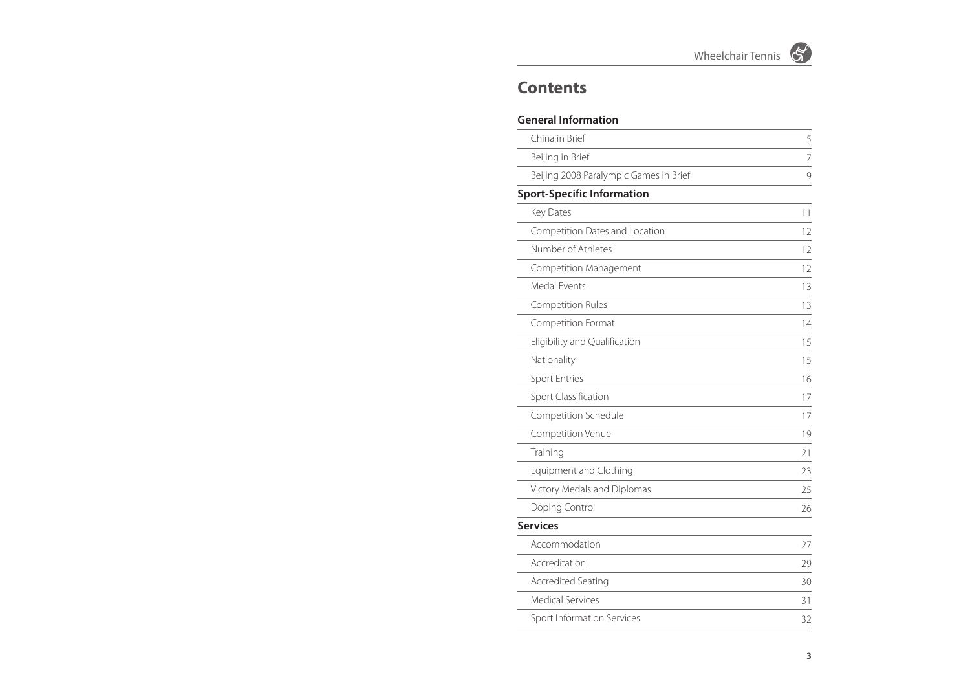# **Contents**

| <b>General Information</b> |  |
|----------------------------|--|
|----------------------------|--|

| China in Brief                         | 5  |
|----------------------------------------|----|
| Beijing in Brief                       | 7  |
| Beijing 2008 Paralympic Games in Brief | 9  |
| <b>Sport-Specific Information</b>      |    |
| Key Dates                              | 11 |
| Competition Dates and Location         | 12 |
| Number of Athletes                     | 12 |
| Competition Management                 | 12 |
| Medal Events                           | 13 |
| <b>Competition Rules</b>               | 13 |
| Competition Format                     | 14 |
| Eligibility and Qualification          | 15 |
| Nationality                            | 15 |
| <b>Sport Entries</b>                   | 16 |
| Sport Classification                   | 17 |
| Competition Schedule                   | 17 |
| Competition Venue                      | 19 |
| Training                               | 21 |
| <b>Equipment and Clothing</b>          | 23 |
| Victory Medals and Diplomas            | 25 |
| Doping Control                         | 26 |
| <b>Services</b>                        |    |
| Accommodation                          | 27 |
| Accreditation                          | 29 |
| <b>Accredited Seating</b>              | 30 |
| <b>Medical Services</b>                | 31 |
| Sport Information Services             | 32 |
|                                        |    |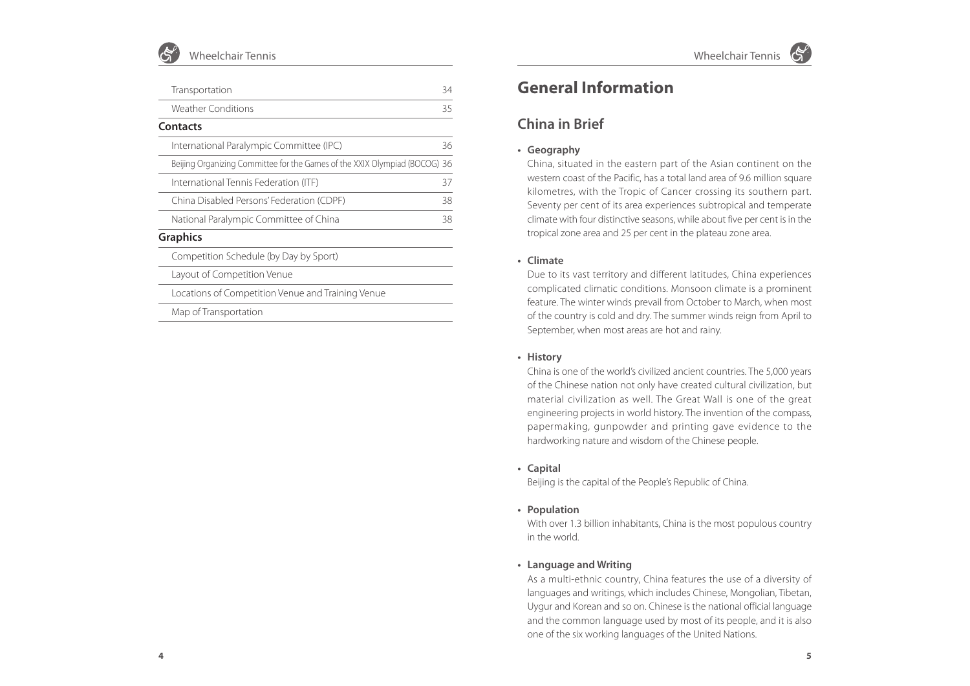### Wheelchair Tennis

| Transportation                                                          | 34 |
|-------------------------------------------------------------------------|----|
| <b>Weather Conditions</b>                                               | 35 |
| <b>Contacts</b>                                                         |    |
| International Paralympic Committee (IPC)                                | 36 |
| Beijing Organizing Committee for the Games of the XXIX Olympiad (BOCOG) | 36 |
| International Tennis Federation (ITF)                                   | 37 |
| China Disabled Persons' Federation (CDPF)                               | 38 |
| National Paralympic Committee of China                                  | 38 |
| <b>Graphics</b>                                                         |    |
| Competition Schedule (by Day by Sport)                                  |    |
| Layout of Competition Venue                                             |    |
| Locations of Competition Venue and Training Venue                       |    |
| Map of Transportation                                                   |    |
|                                                                         |    |

# **General Information**

# **China in Brief**

**• Geography**

China, situated in the eastern part of the Asian continent on the western coast of the Pacific, has a total land area of 9.6 million square kilometres, with the Tropic of Cancer crossing its southern part. Seventy per cent of its area experiences subtropical and temperate climate with four distinctive seasons, while about five per cent is in the tropical zone area and 25 per cent in the plateau zone area.

#### **• Climate**

Due to its vast territory and different latitudes, China experiences complicated climatic conditions. Monsoon climate is a prominent feature. The winter winds prevail from October to March, when most of the country is cold and dry. The summer winds reign from April to September, when most areas are hot and rainy.

#### **• History**

China is one of the world's civilized ancient countries. The 5,000 years of the Chinese nation not only have created cultural civilization, but material civilization as well. The Great Wall is one of the great engineering projects in world history. The invention of the compass, papermaking, gunpowder and printing gave evidence to the hardworking nature and wisdom of the Chinese people.

**• Capital**

Beijing is the capital of the People's Republic of China.

**• Population**

With over 1.3 billion inhabitants, China is the most populous country in the world.

### **• Language and Writing**

As a multi-ethnic country, China features the use of a diversity of languages and writings, which includes Chinese, Mongolian, Tibetan, Uygur and Korean and so on. Chinese is the national official language and the common language used by most of its people, and it is also one of the six working languages of the United Nations.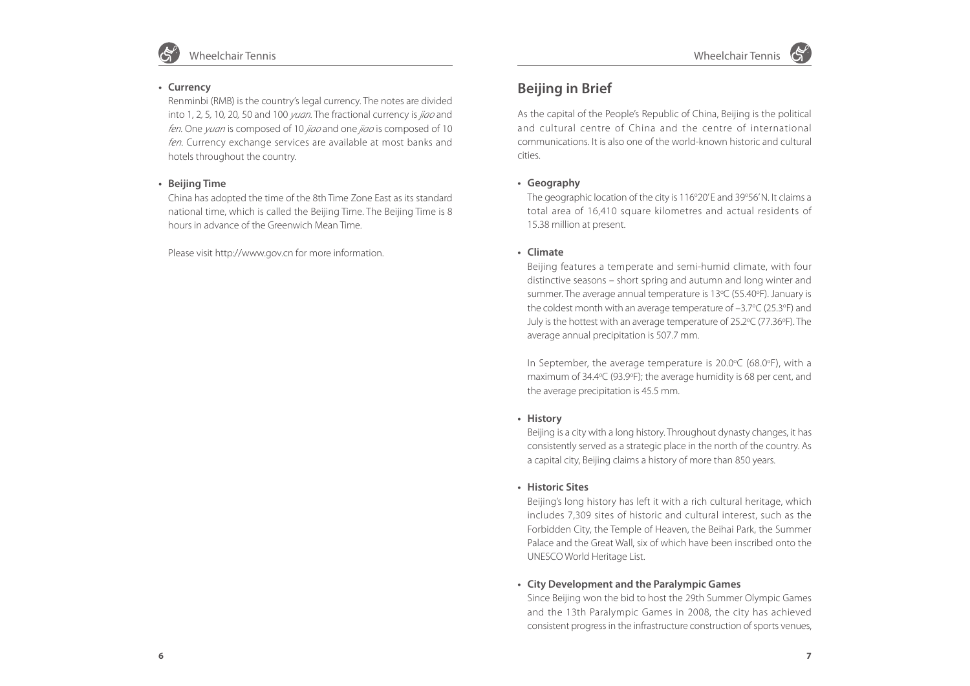



#### **• Currency**

Renminbi (RMB) is the country's legal currency. The notes are divided into 1, 2, 5, 10, 20, 50 and 100 *yuan*. The fractional currency is *jiao* and fen. One yuan is composed of 10 jiao and one jiao is composed of 10 fen. Currency exchange services are available at most banks and hotels throughout the country.

#### **• Beijing Time**

China has adopted the time of the 8th Time Zone East as its standard national time, which is called the Beijing Time. The Beijing Time is 8 hours in advance of the Greenwich Mean Time.

Please visit http://www.gov.cn for more information.

# **Beijing in Brief**

As the capital of the People's Republic of China, Beijing is the political and cultural centre of China and the centre of international communications. It is also one of the world-known historic and cultural cities.

**• Geography**

The geographic location of the city is 116°20'E and 39°56'N. It claims a total area of 16,410 square kilometres and actual residents of 15.38 million at present.

**• Climate**

Beijing features a temperate and semi-humid climate, with four distinctive seasons – short spring and autumn and long winter and summer. The average annual temperature is 13°C (55.40°F). January is the coldest month with an average temperature of  $-3.7$  °C (25.3 °F) and July is the hottest with an average temperature of 25.2°C (77.36°F). The average annual precipitation is 507.7 mm.

In September, the average temperature is 20.0°C (68.0°F), with a maximum of  $34.4^{\circ}$ C (93.9 $^{\circ}$ F); the average humidity is 68 per cent, and the average precipitation is 45.5 mm.

**• History**

Beijing is a city with a long history. Throughout dynasty changes, it has consistently served as a strategic place in the north of the country. As a capital city, Beijing claims a history of more than 850 years.

**• Historic Sites**

Beijing's long history has left it with a rich cultural heritage, which includes 7,309 sites of historic and cultural interest, such as the Forbidden City, the Temple of Heaven, the Beihai Park, the Summer Palace and the Great Wall, six of which have been inscribed onto the UNESCO World Heritage List.

#### **• City Development and the Paralympic Games**

Since Beijing won the bid to host the 29th Summer Olympic Games and the 13th Paralympic Games in 2008, the city has achieved consistent progress in the infrastructure construction of sports venues,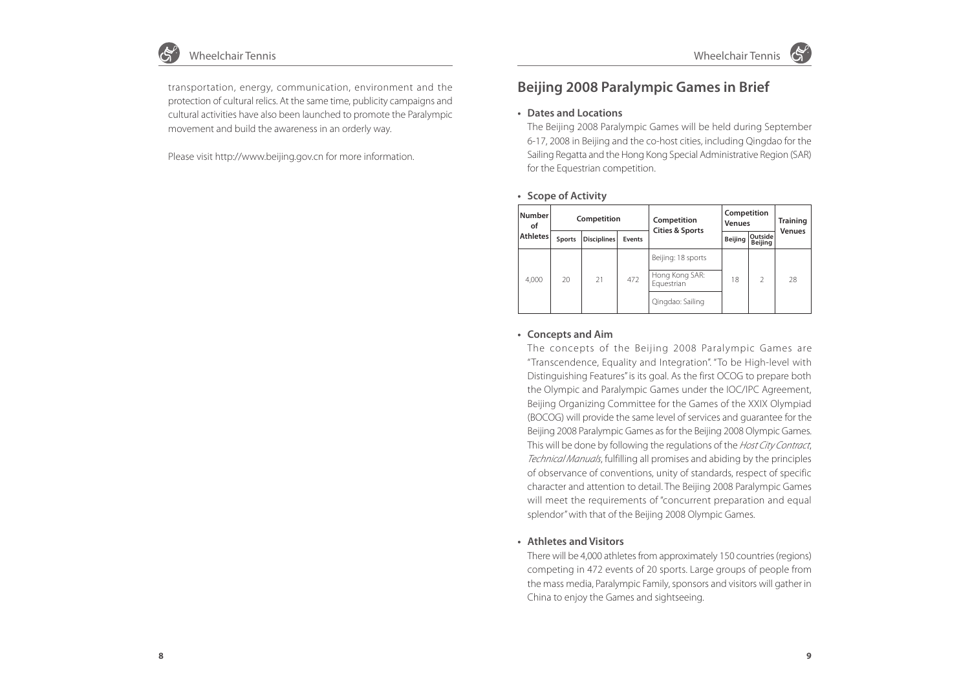

transportation, energy, communication, environment and the protection of cultural relics. At the same time, publicity campaigns and cultural activities have also been launched to promote the Paralympic movement and build the awareness in an orderly way.

Please visit http://www.beijing.gov.cn for more information.

### **Beijing 2008 Paralympic Games in Brief**

#### **• Dates and Locations**

The Beijing 2008 Paralympic Games will be held during September 6-17, 2008 in Beijing and the co-host cities, including Qingdao for the Sailing Regatta and the Hong Kong Special Administrative Region (SAR) for the Equestrian competition.

**• Scope of Activity**

| <b>Number</b><br>οf<br><b>Athletes</b> | Competition |                    | Competition | Competition<br><b>Venues</b> |         | <b>Training</b>    |               |
|----------------------------------------|-------------|--------------------|-------------|------------------------------|---------|--------------------|---------------|
|                                        | Sports      | <b>Disciplines</b> | Events      | <b>Cities &amp; Sports</b>   | Beijing | Outside<br>Beijing | <b>Venues</b> |
|                                        | 20          |                    | 472<br>21   | Beijing: 18 sports           | 18      | $\mathcal{P}$      | 28            |
| 4.000                                  |             |                    |             | Hong Kong SAR:<br>Equestrian |         |                    |               |
|                                        |             |                    |             | Qingdao: Sailing             |         |                    |               |

#### **• Concepts and Aim**

The concepts of the Beijing 2008 Paralympic Games are "Transcendence, Equality and Integration". "To be High-level with Distinguishing Features" is its goal. As the first OCOG to prepare both the Olympic and Paralympic Games under the IOC/IPC Agreement, Beijing Organizing Committee for the Games of the XXIX Olympiad (BOCOG) will provide the same level of services and guarantee for the Beijing 2008 Paralympic Games as for the Beijing 2008 Olympic Games. This will be done by following the regulations of the Host City Contract, Technical Manuals, fulfilling all promises and abiding by the principles of observance of conventions, unity of standards, respect of specific character and attention to detail. The Beijing 2008 Paralympic Games will meet the requirements of "concurrent preparation and equal splendor" with that of the Beijing 2008 Olympic Games.

#### **• Athletes and Visitors**

There will be 4,000 athletes from approximately 150 countries (regions) competing in 472 events of 20 sports. Large groups of people from the mass media, Paralympic Family, sponsors and visitors will gather in China to enjoy the Games and sightseeing.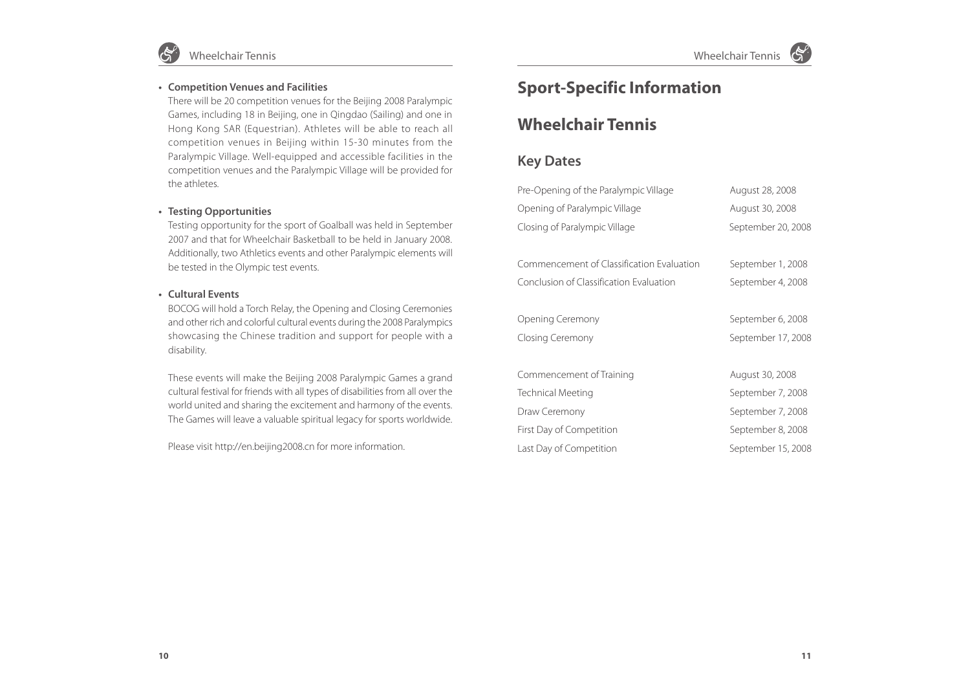

Wheelchair Tennis

#### **• Competition Venues and Facilities**

There will be 20 competition venues for the Beijing 2008 Paralympic Games, including 18 in Beijing, one in Qingdao (Sailing) and one in Hong Kong SAR (Equestrian). Athletes will be able to reach all competition venues in Beijing within 15-30 minutes from the Paralympic Village. Well-equipped and accessible facilities in the competition venues and the Paralympic Village will be provided for the athletes.

#### **• Testing Opportunities**

Testing opportunity for the sport of Goalball was held in September 2007 and that for Wheelchair Basketball to be held in January 2008. Additionally, two Athletics events and other Paralympic elements will be tested in the Olympic test events.

#### **• Cultural Events**

BOCOG will hold a Torch Relay, the Opening and Closing Ceremonies and other rich and colorful cultural events during the 2008 Paralympics showcasing the Chinese tradition and support for people with a disability.

These events will make the Beijing 2008 Paralympic Games a grand cultural festival for friends with all types of disabilities from all over the world united and sharing the excitement and harmony of the events. The Games will leave a valuable spiritual legacy for sports worldwide.

Please visit http://en.beijing2008.cn for more information.

# **Sport-Specific Information**

# **Wheelchair Tennis**

### **Key Dates**

| Pre-Opening of the Paralympic Village     | August 28, 2008    |
|-------------------------------------------|--------------------|
| Opening of Paralympic Village             | August 30, 2008    |
| Closing of Paralympic Village             | September 20, 2008 |
|                                           |                    |
| Commencement of Classification Evaluation | September 1, 2008  |
| Conclusion of Classification Evaluation   | September 4, 2008  |
| Opening Ceremony                          | September 6, 2008  |
| Closing Ceremony                          | September 17, 2008 |
| Commencement of Training                  | August 30, 2008    |
| Technical Meeting                         | September 7, 2008  |
| Draw Ceremony                             | September 7, 2008  |
| First Day of Competition                  | September 8, 2008  |
| Last Day of Competition                   | September 15, 2008 |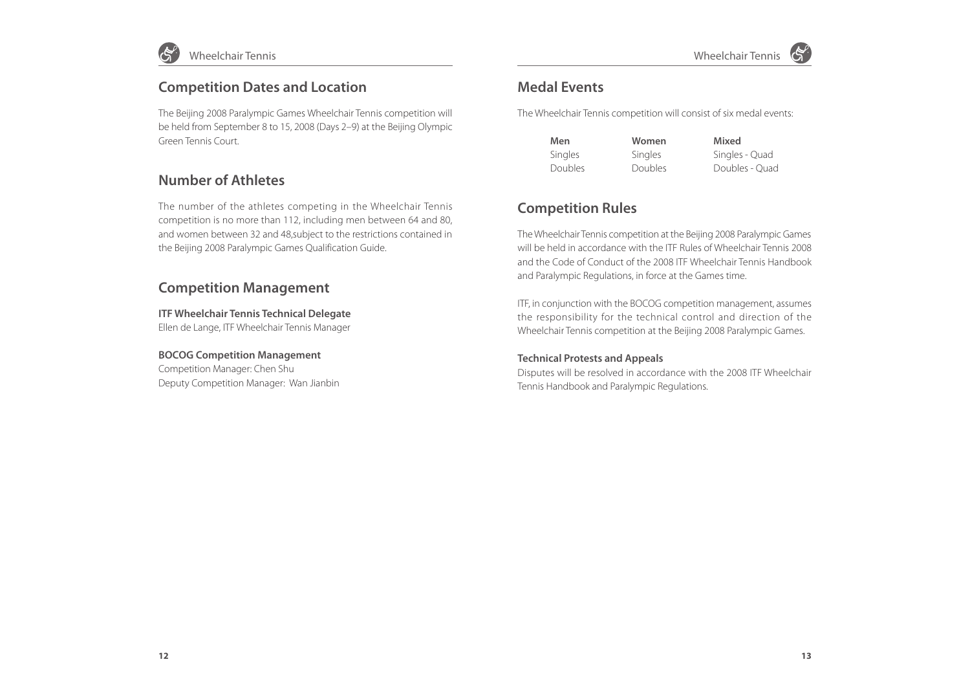

### **Competition Dates and Location**

The Beijing 2008 Paralympic Games Wheelchair Tennis competition will be held from September 8 to 15, 2008 (Days 2–9) at the Beijing Olympic Green Tennis Court.

### **Number of Athletes**

The number of the athletes competing in the Wheelchair Tennis competition is no more than 112, including men between 64 and 80, and women between 32 and 48,subject to the restrictions contained in the Beijing 2008 Paralympic Games Qualification Guide.

### **Competition Management**

**ITF Wheelchair Tennis Technical Delegate** Ellen de Lange, ITF Wheelchair Tennis Manager

**BOCOG Competition Management** Competition Manager: Chen Shu Deputy Competition Manager: Wan Jianbin

### **Medal Events**

The Wheelchair Tennis competition will consist of six medal events:

| Men     | Women   | Mixed          |
|---------|---------|----------------|
| Singles | Singles | Singles - Quad |
| Doubles | Doubles | Doubles - Ouad |

## **Competition Rules**

The Wheelchair Tennis competition at the Beijing 2008 Paralympic Games will be held in accordance with the ITF Rules of Wheelchair Tennis 2008 and the Code of Conduct of the 2008 ITF Wheelchair Tennis Handbook and Paralympic Regulations, in force at the Games time.

ITF, in conjunction with the BOCOG competition management, assumes the responsibility for the technical control and direction of the Wheelchair Tennis competition at the Beijing 2008 Paralympic Games.

#### **Technical Protests and Appeals**

Disputes will be resolved in accordance with the 2008 ITF Wheelchair Tennis Handbook and Paralympic Regulations.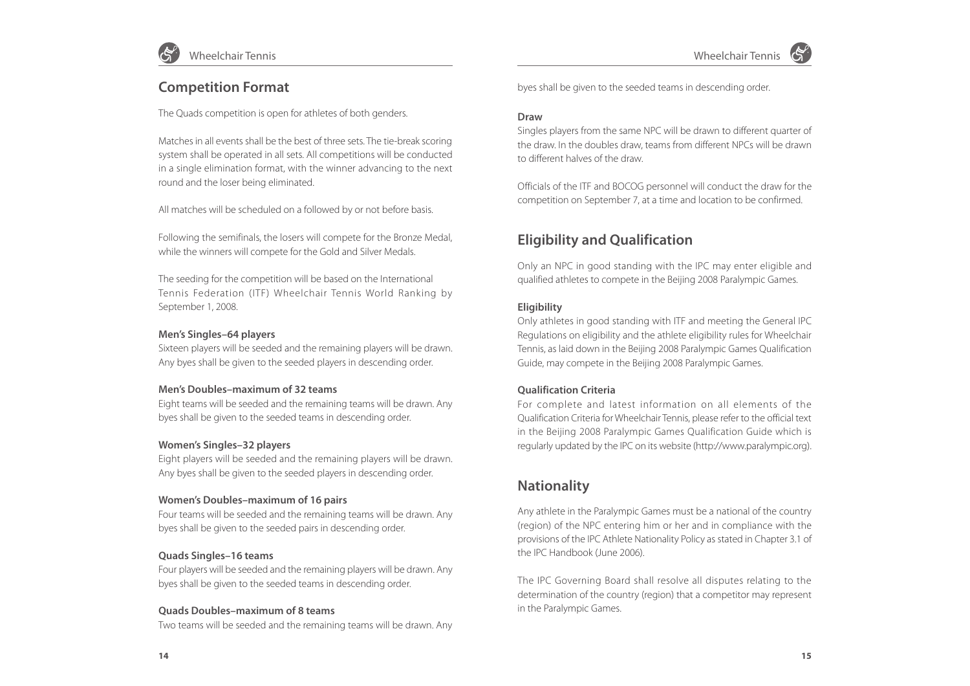



### **Competition Format**

The Quads competition is open for athletes of both genders.

Matches in all events shall be the best of three sets. The tie-break scoring system shall be operated in all sets. All competitions will be conducted in a single elimination format, with the winner advancing to the next round and the loser being eliminated.

All matches will be scheduled on a followed by or not before basis.

Following the semifinals, the losers will compete for the Bronze Medal, while the winners will compete for the Gold and Silver Medals.

The seeding for the competition will be based on the International Tennis Federation (ITF) Wheelchair Tennis World Ranking by September 1, 2008.

#### **Men's Singles–64 players**

Sixteen players will be seeded and the remaining players will be drawn. Any byes shall be given to the seeded players in descending order.

#### **Men's Doubles–maximum of 32 teams**

Eight teams will be seeded and the remaining teams will be drawn. Any byes shall be given to the seeded teams in descending order.

#### **Women's Singles–32 players**

Eight players will be seeded and the remaining players will be drawn. Any byes shall be given to the seeded players in descending order.

#### **Women's Doubles–maximum of 16 pairs**

Four teams will be seeded and the remaining teams will be drawn. Any byes shall be given to the seeded pairs in descending order.

#### **Quads Singles–16 teams**

Four players will be seeded and the remaining players will be drawn. Any byes shall be given to the seeded teams in descending order.

#### **Quads Doubles–maximum of 8 teams**

Two teams will be seeded and the remaining teams will be drawn. Any

byes shall be given to the seeded teams in descending order.

#### **Draw**

Singles players from the same NPC will be drawn to different quarter of the draw. In the doubles draw, teams from different NPCs will be drawn to different halves of the draw.

Officials of the ITF and BOCOG personnel will conduct the draw for the competition on September 7, at a time and location to be confirmed.

# **Eligibility and Qualification**

Only an NPC in good standing with the IPC may enter eligible and qualified athletes to compete in the Beijing 2008 Paralympic Games.

### **Eligibility**

Only athletes in good standing with ITF and meeting the General IPC Regulations on eligibility and the athlete eligibility rules for Wheelchair Tennis, as laid down in the Beijing 2008 Paralympic Games Qualification Guide, may compete in the Beijing 2008 Paralympic Games.

#### **Qualification Criteria**

For complete and latest information on all elements of the Qualification Criteria for Wheelchair Tennis, please refer to the official text in the Beijing 2008 Paralympic Games Qualification Guide which is regularly updated by the IPC on its website (http://www.paralympic.org).

# **Nationality**

Any athlete in the Paralympic Games must be a national of the country (region) of the NPC entering him or her and in compliance with the provisions of the IPC Athlete Nationality Policy as stated in Chapter 3.1 of the IPC Handbook (June 2006).

The IPC Governing Board shall resolve all disputes relating to the determination of the country (region) that a competitor may represent in the Paralympic Games.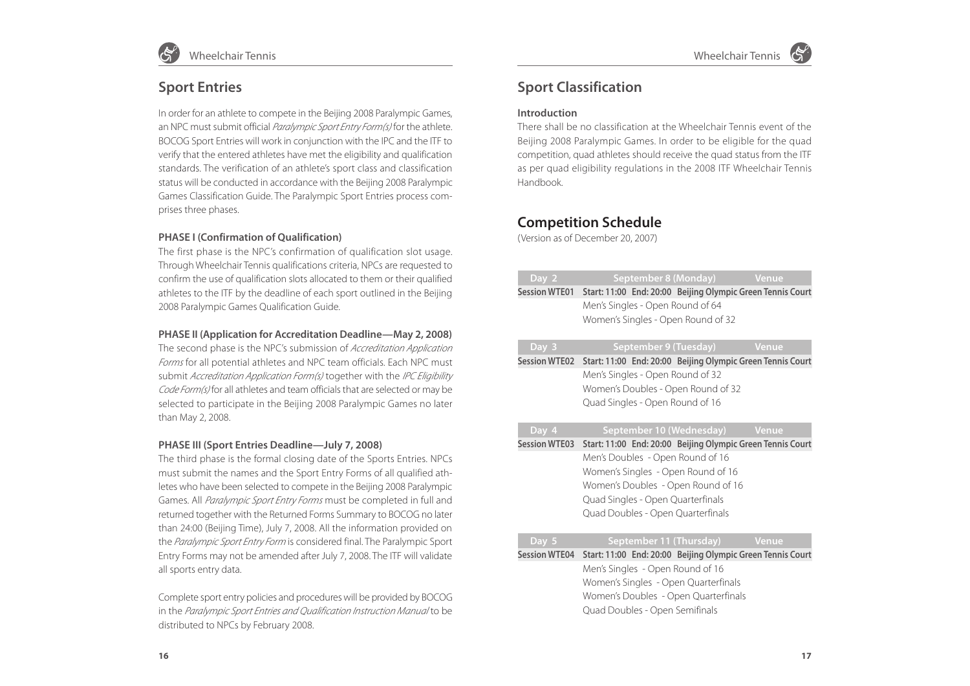

### **Sport Entries**

In order for an athlete to compete in the Beijing 2008 Paralympic Games, an NPC must submit official *Paralympic Sport Entry Form(s)* for the athlete. BOCOG Sport Entries will work in conjunction with the IPC and the ITF to verify that the entered athletes have met the eligibility and qualification standards. The verification of an athlete's sport class and classification status will be conducted in accordance with the Beijing 2008 Paralympic Games Classification Guide. The Paralympic Sport Entries process comprises three phases.

#### **PHASE I (Confirmation of Qualification)**

The first phase is the NPC's confirmation of qualification slot usage. Through Wheelchair Tennis qualifications criteria, NPCs are requested to confirm the use of qualification slots allocated to them or their qualified athletes to the ITF by the deadline of each sport outlined in the Beijing 2008 Paralympic Games Qualification Guide.

#### **PHASE II (Application for Accreditation Deadline—May 2, 2008)**

The second phase is the NPC's submission of *Accreditation Application* Forms for all potential athletes and NPC team officials. Each NPC must submit Accreditation Application Form(s) together with the IPC Eligibility Code Form(s) for all athletes and team officials that are selected or may be selected to participate in the Beijing 2008 Paralympic Games no later than May 2, 2008.

#### **PHASE III (Sport Entries Deadline—July 7, 2008)**

The third phase is the formal closing date of the Sports Entries. NPCs must submit the names and the Sport Entry Forms of all qualified athletes who have been selected to compete in the Beijing 2008 Paralympic Games. All *Paralympic Sport Entry Forms* must be completed in full and returned together with the Returned Forms Summary to BOCOG no later than 24:00 (Beijing Time), July 7, 2008. All the information provided on the Paralympic Sport Entry Form is considered final. The Paralympic Sport Entry Forms may not be amended after July 7, 2008. The ITF will validate all sports entry data.

Complete sport entry policies and procedures will be provided by BOCOG in the Paralympic Sport Entries and Qualification Instruction Manual to be distributed to NPCs by February 2008.

## **Sport Classification**

#### **Introduction**

There shall be no classification at the Wheelchair Tennis event of the Beijing 2008 Paralympic Games. In order to be eligible for the quad competition, quad athletes should receive the quad status from the ITF as per quad eligibility regulations in the 2008 ITF Wheelchair Tennis Handbook.

### **Competition Schedule**

(Version as of December 20, 2007)

| Day 2<br><b>Session WTE01</b> | September 8 (Monday)<br>Venue<br>Start: 11:00 End: 20:00 Beijing Olympic Green Tennis Court<br>Men's Singles - Open Round of 64<br>Women's Singles - Open Round of 32                                                                                                                     |
|-------------------------------|-------------------------------------------------------------------------------------------------------------------------------------------------------------------------------------------------------------------------------------------------------------------------------------------|
| Day 3<br><b>Session WTE02</b> | September 9 (Tuesday)<br>Venue<br>Start: 11:00 End: 20:00 Beijing Olympic Green Tennis Court<br>Men's Singles - Open Round of 32<br>Women's Doubles - Open Round of 32<br>Quad Singles - Open Round of 16                                                                                 |
| Day 4<br><b>Session WTE03</b> | September 10 (Wednesday)<br>Venue<br>Start: 11:00 End: 20:00 Beijing Olympic Green Tennis Court<br>Men's Doubles - Open Round of 16<br>Women's Singles - Open Round of 16<br>Women's Doubles - Open Round of 16<br>Quad Singles - Open Quarterfinals<br>Quad Doubles - Open Quarterfinals |
| Day 5<br><b>Session WTE04</b> | September 11 (Thursday)<br>Venue<br>Start: 11:00 End: 20:00 Beijing Olympic Green Tennis Court<br>Men's Singles - Open Round of 16<br>Women's Singles - Open Quarterfinals<br>Women's Doubles - Open Quarterfinals<br>Quad Doubles - Open Semifinals                                      |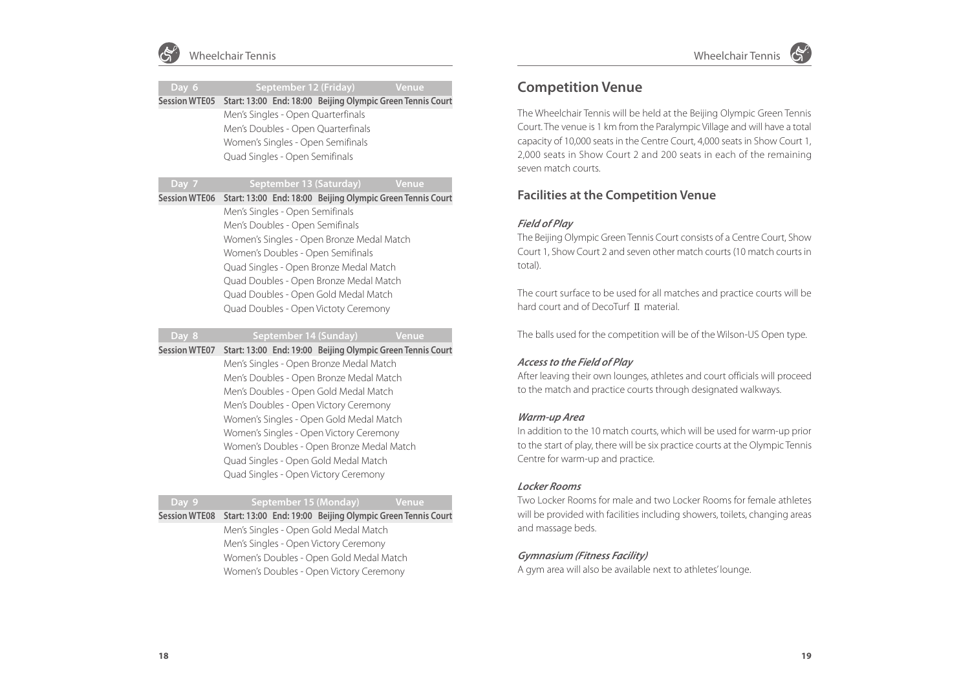



| Day 6                | Venue<br>September 12 (Friday)                             | Con     |
|----------------------|------------------------------------------------------------|---------|
| <b>Session WTE05</b> | Start: 13:00 End: 18:00 Beijing Olympic Green Tennis Court |         |
|                      | Men's Singles - Open Quarterfinals                         | The W   |
|                      | Men's Doubles - Open Quarterfinals                         | Court.  |
|                      | Women's Singles - Open Semifinals                          | capac   |
|                      | Quad Singles - Open Semifinals                             | 2,000   |
|                      |                                                            | seven   |
| Day 7                | Venue<br>September 13 (Saturday)                           |         |
| <b>Session WTE06</b> | Start: 13:00 End: 18:00 Beijing Olympic Green Tennis Court | Facil   |
|                      | Men's Singles - Open Semifinals                            |         |
|                      | Men's Doubles - Open Semifinals                            | Field   |
|                      | Women's Singles - Open Bronze Medal Match                  | The Be  |
|                      | Women's Doubles - Open Semifinals                          | Court   |
|                      | Quad Singles - Open Bronze Medal Match                     | total). |
|                      | Quad Doubles - Open Bronze Medal Match                     |         |
|                      | Quad Doubles - Open Gold Medal Match                       | The co  |
|                      | Quad Doubles - Open Victoty Ceremony                       | hard c  |
| Day 8                | Venue<br>September 14 (Sunday)                             | The ba  |
| <b>Session WTE07</b> | Start: 13:00 End: 19:00 Beijing Olympic Green Tennis Court |         |
|                      | Men's Singles - Open Bronze Medal Match                    | Acces   |
|                      | Men's Doubles - Open Bronze Medal Match                    | After I |
|                      | Men's Doubles - Open Gold Medal Match                      | to the  |
|                      | Men's Doubles - Open Victory Ceremony                      |         |
|                      | Women's Singles - Open Gold Medal Match                    | Warn    |
|                      | Women's Singles - Open Victory Ceremony                    | In add  |
|                      | Women's Doubles - Open Bronze Medal Match                  | to the  |
|                      | Quad Singles - Open Gold Medal Match                       | Centre  |
|                      | Quad Singles - Open Victory Ceremony                       |         |
|                      |                                                            | Locke   |
| Day 9                | September 15 (Monday)<br>Venue                             | Two L   |
| <b>Session WTE08</b> | Start: 13:00 End: 19:00 Beijing Olympic Green Tennis Court | will be |
|                      | Men's Singles - Open Gold Medal Match                      | and m   |
|                      | Men's Singles - Open Victory Ceremony                      |         |
|                      | Women's Doubles - Open Gold Medal Match                    | Gymr    |
|                      | Women's Doubles - Open Victory Ceremony                    | A gym   |
|                      |                                                            |         |
|                      |                                                            |         |
|                      |                                                            |         |

### **Competition Venue**

/heelchair Tennis will be held at the Beijing Olympic Green Tennis The venue is 1 km from the Paralympic Village and will have a total ity of 10,000 seats in the Centre Court, 4,000 seats in Show Court 1, seats in Show Court 2 and 200 seats in each of the remaining match courts.

### **Facilities at the Competition Venue**

### *Field of Play*

eijing Olympic Green Tennis Court consists of a Centre Court, Show 1, Show Court 2 and seven other match courts (10 match courts in

ourt surface to be used for all matches and practice courts will be court and of DecoTurf II material.

alls used for the competition will be of the Wilson-US Open type.

### *Access to the Field of Play*

leaving their own lounges, athletes and court officials will proceed match and practice courts through designated walkways.

#### *Warm-up Area*

lition to the 10 match courts, which will be used for warm-up prior start of play, there will be six practice courts at the Olympic Tennis e for warm-up and practice.

#### *Locker Rooms*

ocker Rooms for male and two Locker Rooms for female athletes e provided with facilities including showers, toilets, changing areas hassage beds.

#### *Gymnasium (Fitness Facility)*

n area will also be available next to athletes' lounge.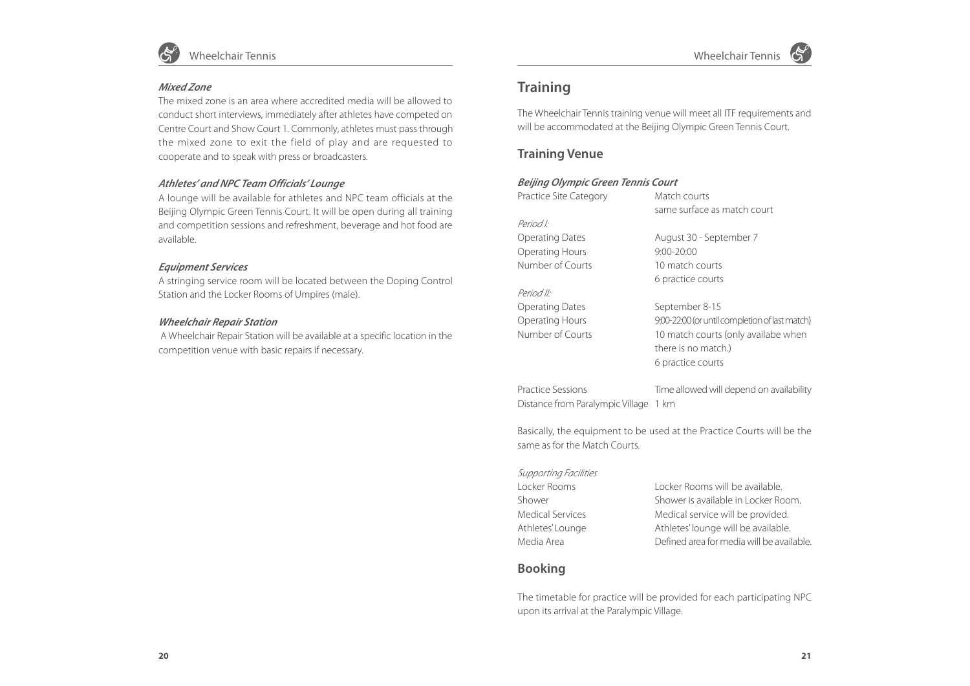



#### *Mixed Zone*

The mixed zone is an area where accredited media will be allowed to conduct short interviews, immediately after athletes have competed on Centre Court and Show Court 1. Commonly, athletes must pass through the mixed zone to exit the field of play and are requested to cooperate and to speak with press or broadcasters.

#### *Athletes' and NPC Team Officials' Lounge*

A lounge will be available for athletes and NPC team officials at the Beijing Olympic Green Tennis Court. It will be open during all training and competition sessions and refreshment, beverage and hot food are available.

#### *Equipment Services*

A stringing service room will be located between the Doping Control Station and the Locker Rooms of Umpires (male).

#### *Wheelchair Repair Station*

 A Wheelchair Repair Station will be available at a specific location in the competition venue with basic repairs if necessary.

### **Training**

The Wheelchair Tennis training venue will meet all ITF requirements and will be accommodated at the Beijing Olympic Green Tennis Court.

#### **Training Venue**

#### *Beijing Olympic Green Tennis Court*

| Practice Site Category | Match courts                                   |
|------------------------|------------------------------------------------|
|                        | same surface as match court                    |
| Period I:              |                                                |
| Operating Dates        | August 30 - September 7                        |
| Operating Hours        | $9:00 - 20:00$                                 |
| Number of Courts       | 10 match courts                                |
|                        | 6 practice courts                              |
| Period II:             |                                                |
| Operating Dates        | September 8-15                                 |
| Operating Hours        | 9:00-22:00 (or until completion of last match) |
| Number of Courts       | 10 match courts (only availabe when            |
|                        | there is no match.)                            |
|                        | 6 practice courts                              |

Distance from Paralympic Village 1 km

Practice Sessions Time allowed will depend on availability

Basically, the equipment to be used at the Practice Courts will be the same as for the Match Courts.

#### Supporting Facilities

Locker Rooms Locker Rooms will be available. Shower Shower is available in Locker Room. Medical Services Medical service will be provided. Athletes' Lounge **Athletes'** lounge will be available. Media Area Defined area for media will be available.

### **Booking**

The timetable for practice will be provided for each participating NPC upon its arrival at the Paralympic Village.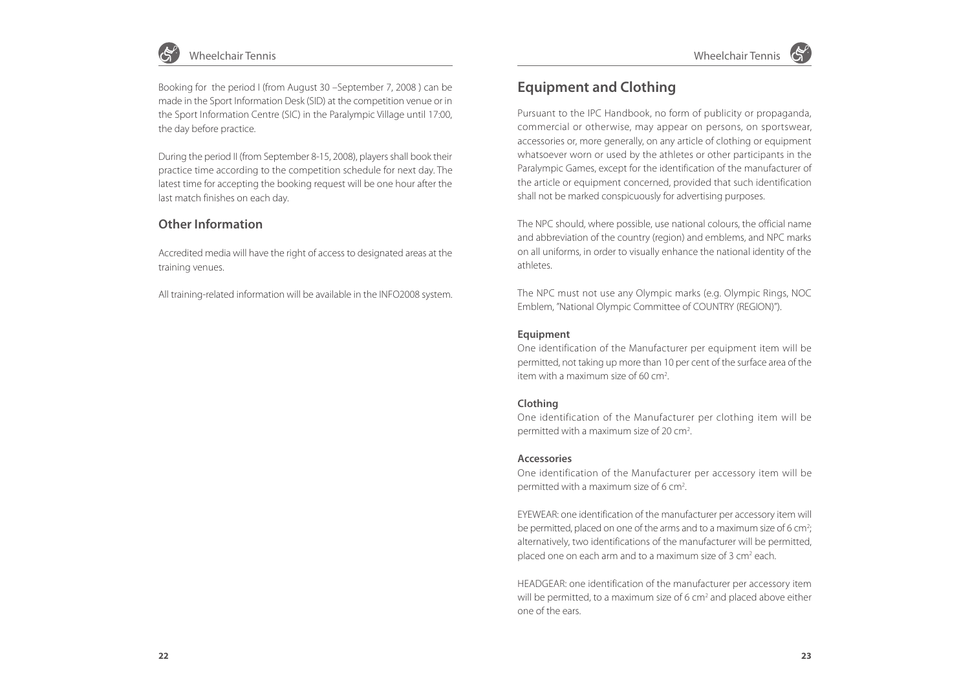

Booking for the period I (from August 30 –September 7, 2008 ) can be made in the Sport Information Desk (SID) at the competition venue or in the Sport Information Centre (SIC) in the Paralympic Village until 17:00, the day before practice.

During the period II (from September 8-15, 2008), players shall book their practice time according to the competition schedule for next day. The latest time for accepting the booking request will be one hour after the last match finishes on each day.

### **Other Information**

Accredited media will have the right of access to designated areas at the training venues.

All training-related information will be available in the INFO2008 system.

## **Equipment and Clothing**

Pursuant to the IPC Handbook, no form of publicity or propaganda, commercial or otherwise, may appear on persons, on sportswear, accessories or, more generally, on any article of clothing or equipment whatsoever worn or used by the athletes or other participants in the Paralympic Games, except for the identification of the manufacturer of the article or equipment concerned, provided that such identification shall not be marked conspicuously for advertising purposes.

The NPC should, where possible, use national colours, the official name and abbreviation of the country (region) and emblems, and NPC marks on all uniforms, in order to visually enhance the national identity of the athletes.

The NPC must not use any Olympic marks (e.g. Olympic Rings, NOC Emblem, "National Olympic Committee of COUNTRY (REGION)").

#### **Equipment**

One identification of the Manufacturer per equipment item will be permitted, not taking up more than 10 per cent of the surface area of the item with a maximum size of 60 cm2.

#### **Clothing**

One identification of the Manufacturer per clothing item will be permitted with a maximum size of 20 cm2.

#### **Accessories**

One identification of the Manufacturer per accessory item will be permitted with a maximum size of 6 cm2.

EYEWEAR: one identification of the manufacturer per accessory item will be permitted, placed on one of the arms and to a maximum size of 6 cm<sup>2</sup>; alternatively, two identifications of the manufacturer will be permitted, placed one on each arm and to a maximum size of 3 cm2 each.

HEADGEAR: one identification of the manufacturer per accessory item will be permitted, to a maximum size of 6 cm<sup>2</sup> and placed above either one of the ears.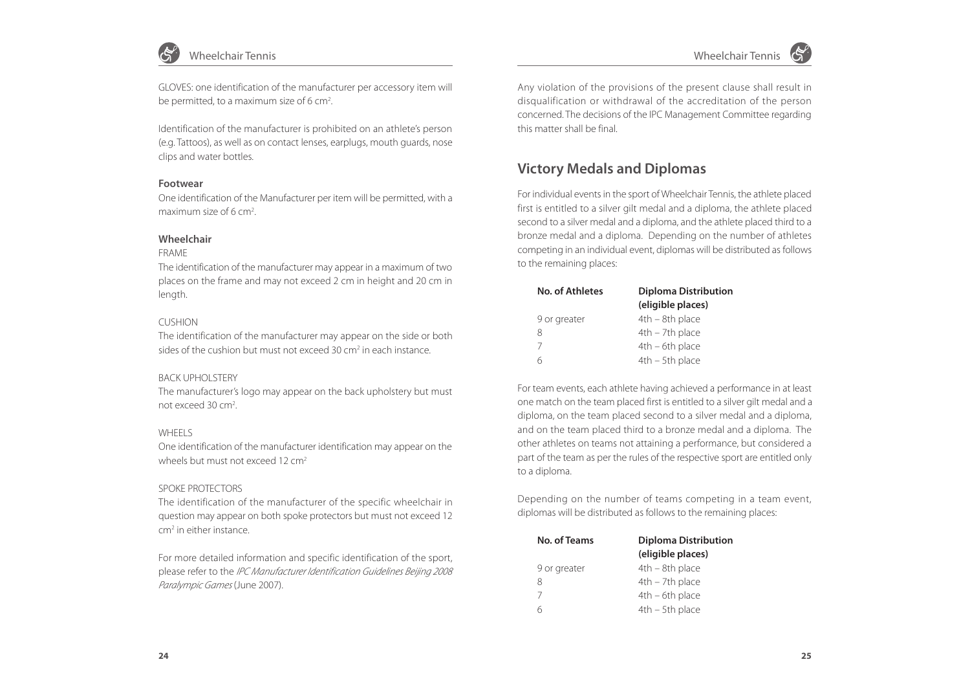

GLOVES: one identification of the manufacturer per accessory item will be permitted, to a maximum size of 6 cm<sup>2</sup>.

Identification of the manufacturer is prohibited on an athlete's person (e.g. Tattoos), as well as on contact lenses, earplugs, mouth guards, nose clips and water bottles.

#### **Footwear**

One identification of the Manufacturer per item will be permitted, with a maximum size of 6 cm<sup>2</sup>.

#### **Wheelchair**

FRAME

The identification of the manufacturer may appear in a maximum of two places on the frame and may not exceed 2 cm in height and 20 cm in length.

#### CUSHION

The identification of the manufacturer may appear on the side or both sides of the cushion but must not exceed 30 cm<sup>2</sup> in each instance.

#### BACK UPHOLSTERY

The manufacturer's logo may appear on the back upholstery but must not exceed 30 cm2.

#### WHFFL<sub>S</sub>

One identification of the manufacturer identification may appear on the wheels but must not exceed 12 cm<sup>2</sup>

#### SPOKE PROTECTORS

The identification of the manufacturer of the specific wheelchair in question may appear on both spoke protectors but must not exceed 12 cm2 in either instance.

For more detailed information and specific identification of the sport, please refer to the IPC Manufacturer Identification Guidelines Beijing 2008 Paralympic Games (June 2007).

Any violation of the provisions of the present clause shall result in disqualification or withdrawal of the accreditation of the person concerned. The decisions of the IPC Management Committee regarding this matter shall be final.

## **Victory Medals and Diplomas**

For individual events in the sport of Wheelchair Tennis, the athlete placed first is entitled to a silver gilt medal and a diploma, the athlete placed second to a silver medal and a diploma, and the athlete placed third to a bronze medal and a diploma. Depending on the number of athletes competing in an individual event, diplomas will be distributed as follows to the remaining places:

| No. of Athletes | <b>Diploma Distribution</b> |  |  |
|-----------------|-----------------------------|--|--|
|                 | (eligible places)           |  |  |
| 9 or greater    | $4th - 8th$ place           |  |  |
| 8               | $4th - 7th$ place           |  |  |
|                 | $4th - 6th$ place           |  |  |
|                 | $4th - 5th$ place           |  |  |

For team events, each athlete having achieved a performance in at least one match on the team placed first is entitled to a silver gilt medal and a diploma, on the team placed second to a silver medal and a diploma, and on the team placed third to a bronze medal and a diploma. The other athletes on teams not attaining a performance, but considered a part of the team as per the rules of the respective sport are entitled only to a diploma.

Depending on the number of teams competing in a team event, diplomas will be distributed as follows to the remaining places:

| No. of Teams | <b>Diploma Distribution</b> |  |  |
|--------------|-----------------------------|--|--|
|              | (eligible places)           |  |  |
| 9 or greater | $4th - 8th$ place           |  |  |
| 8            | $4th - 7th$ place           |  |  |
| 7            | $4th - 6th$ place           |  |  |
| հ            | $4th - 5th$ place           |  |  |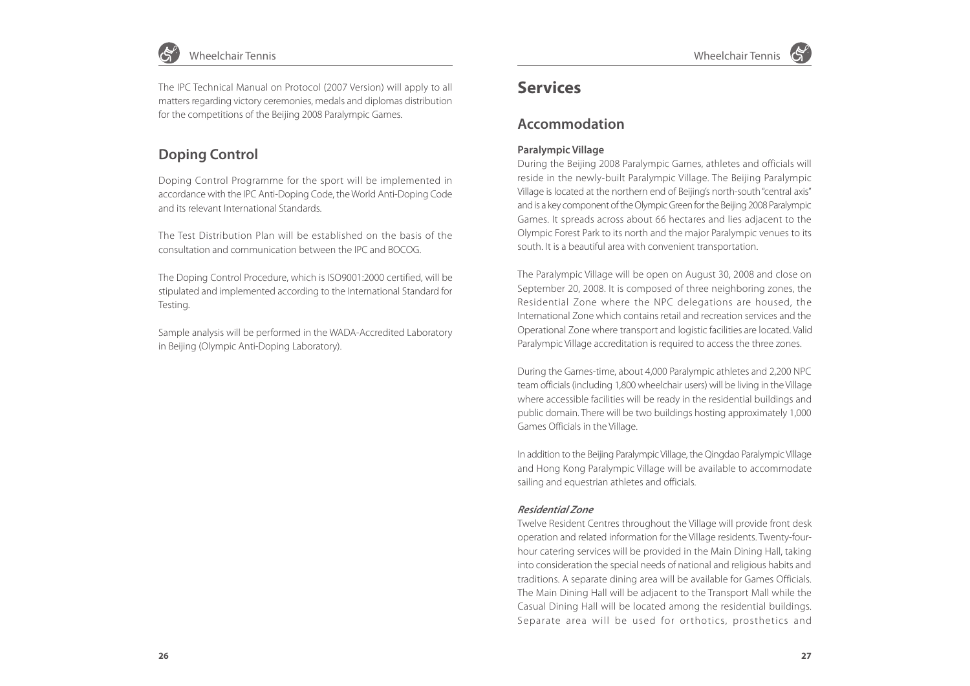

The IPC Technical Manual on Protocol (2007 Version) will apply to all matters regarding victory ceremonies, medals and diplomas distribution for the competitions of the Beijing 2008 Paralympic Games.

### **Doping Control**

Doping Control Programme for the sport will be implemented in accordance with the IPC Anti-Doping Code, the World Anti-Doping Code and its relevant International Standards.

The Test Distribution Plan will be established on the basis of the consultation and communication between the IPC and BOCOG.

The Doping Control Procedure, which is ISO9001:2000 certified, will be stipulated and implemented according to the International Standard for Testing.

Sample analysis will be performed in the WADA-Accredited Laboratory in Beijing (Olympic Anti-Doping Laboratory).

# **Services**

### **Accommodation**

### **Paralympic Village**

During the Beijing 2008 Paralympic Games, athletes and officials will reside in the newly-built Paralympic Village. The Beijing Paralympic Village is located at the northern end of Beijing's north-south "central axis" and is a key component of the Olympic Green for the Beijing 2008 Paralympic Games. It spreads across about 66 hectares and lies adjacent to the Olympic Forest Park to its north and the major Paralympic venues to its south. It is a beautiful area with convenient transportation.

The Paralympic Village will be open on August 30, 2008 and close on September 20, 2008. It is composed of three neighboring zones, the Residential Zone where the NPC delegations are housed, the International Zone which contains retail and recreation services and the Operational Zone where transport and logistic facilities are located. Valid Paralympic Village accreditation is required to access the three zones.

During the Games-time, about 4,000 Paralympic athletes and 2,200 NPC team officials (including 1,800 wheelchair users) will be living in the Village where accessible facilities will be ready in the residential buildings and public domain. There will be two buildings hosting approximately 1,000 Games Officials in the Village.

In addition to the Beijing Paralympic Village, the Qingdao Paralympic Village and Hong Kong Paralympic Village will be available to accommodate sailing and equestrian athletes and officials.

#### *Residential Zone*

Twelve Resident Centres throughout the Village will provide front desk operation and related information for the Village residents. Twenty-fourhour catering services will be provided in the Main Dining Hall, taking into consideration the special needs of national and religious habits and traditions. A separate dining area will be available for Games Officials. The Main Dining Hall will be adjacent to the Transport Mall while the Casual Dining Hall will be located among the residential buildings. Separate area will be used for orthotics, prosthetics and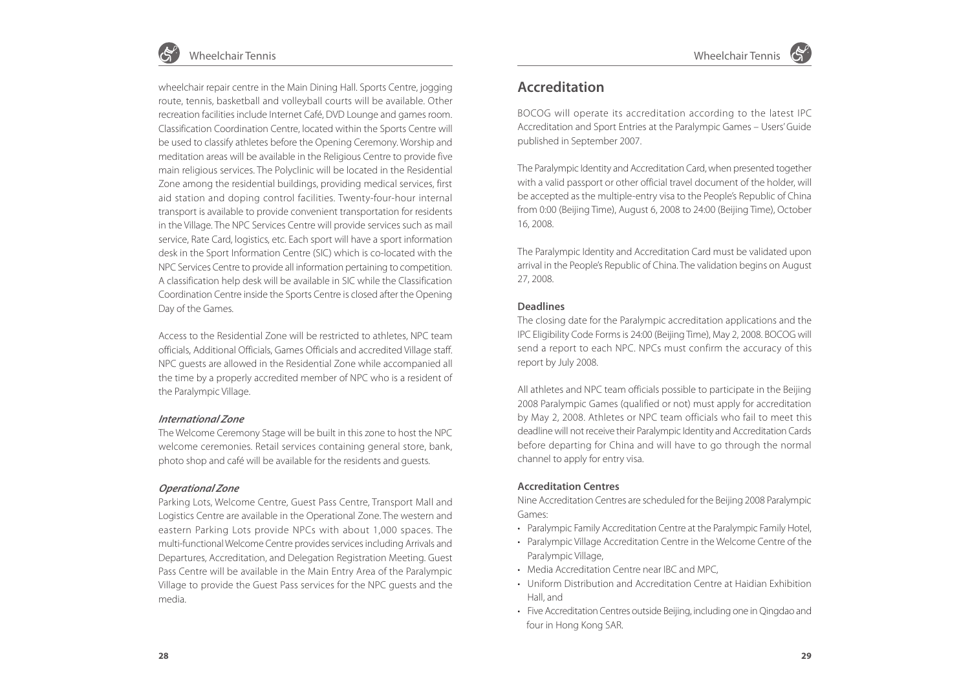wheelchair repair centre in the Main Dining Hall. Sports Centre, jogging route, tennis, basketball and volleyball courts will be available. Other recreation facilities include Internet Café, DVD Lounge and games room. Classification Coordination Centre, located within the Sports Centre will be used to classify athletes before the Opening Ceremony. Worship and meditation areas will be available in the Religious Centre to provide five main religious services. The Polyclinic will be located in the Residential Zone among the residential buildings, providing medical services, first aid station and doping control facilities. Twenty-four-hour internal transport is available to provide convenient transportation for residents in the Village. The NPC Services Centre will provide services such as mail service, Rate Card, logistics, etc. Each sport will have a sport information desk in the Sport Information Centre (SIC) which is co-located with the NPC Services Centre to provide all information pertaining to competition. A classification help desk will be available in SIC while the Classification Coordination Centre inside the Sports Centre is closed after the Opening Day of the Games.

Access to the Residential Zone will be restricted to athletes, NPC team officials, Additional Officials, Games Officials and accredited Village staff. NPC guests are allowed in the Residential Zone while accompanied all the time by a properly accredited member of NPC who is a resident of the Paralympic Village.

#### *International Zone*

The Welcome Ceremony Stage will be built in this zone to host the NPC welcome ceremonies. Retail services containing general store, bank, photo shop and café will be available for the residents and guests.

#### *Operational Zone*

Parking Lots, Welcome Centre, Guest Pass Centre, Transport Mall and Logistics Centre are available in the Operational Zone. The western and eastern Parking Lots provide NPCs with about 1,000 spaces. The multi-functional Welcome Centre provides services including Arrivals and Departures, Accreditation, and Delegation Registration Meeting. Guest Pass Centre will be available in the Main Entry Area of the Paralympic Village to provide the Guest Pass services for the NPC guests and the media.

### **Accreditation**

BOCOG will operate its accreditation according to the latest IPC Accreditation and Sport Entries at the Paralympic Games – Users' Guide published in September 2007.

The Paralympic Identity and Accreditation Card, when presented together with a valid passport or other official travel document of the holder, will be accepted as the multiple-entry visa to the People's Republic of China from 0:00 (Beijing Time), August 6, 2008 to 24:00 (Beijing Time), October 16, 2008.

The Paralympic Identity and Accreditation Card must be validated upon arrival in the People's Republic of China. The validation begins on August 27, 2008.

#### **Deadlines**

The closing date for the Paralympic accreditation applications and the IPC Eligibility Code Forms is 24:00 (Beijing Time), May 2, 2008. BOCOG will send a report to each NPC. NPCs must confirm the accuracy of this report by July 2008.

All athletes and NPC team officials possible to participate in the Beijing 2008 Paralympic Games (qualified or not) must apply for accreditation by May 2, 2008. Athletes or NPC team officials who fail to meet this deadline will not receive their Paralympic Identity and Accreditation Cards before departing for China and will have to go through the normal channel to apply for entry visa.

#### **Accreditation Centres**

Nine Accreditation Centres are scheduled for the Beijing 2008 Paralympic Games:

- Paralympic Family Accreditation Centre at the Paralympic Family Hotel,
- Paralympic Village Accreditation Centre in the Welcome Centre of the Paralympic Village,
- Media Accreditation Centre near IBC and MPC,
- Uniform Distribution and Accreditation Centre at Haidian Exhibition Hall, and
- Five Accreditation Centres outside Beijing, including one in Qingdao and four in Hong Kong SAR.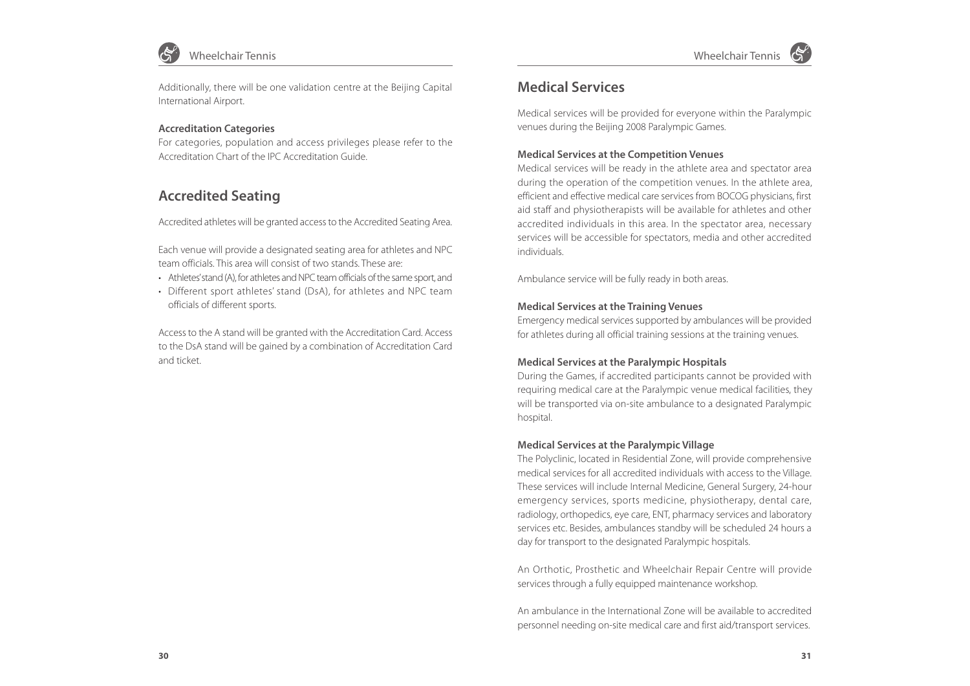



Additionally, there will be one validation centre at the Beijing Capital International Airport.

#### **Accreditation Categories**

For categories, population and access privileges please refer to the Accreditation Chart of the IPC Accreditation Guide.

### **Accredited Seating**

Accredited athletes will be granted access to the Accredited Seating Area.

Each venue will provide a designated seating area for athletes and NPC team officials. This area will consist of two stands. These are:

- Athletes' stand (A), for athletes and NPC team officials of the same sport, and
- Different sport athletes' stand (DsA), for athletes and NPC team officials of different sports.

Access to the A stand will be granted with the Accreditation Card. Access to the DsA stand will be gained by a combination of Accreditation Card and ticket.

### **Medical Services**

Medical services will be provided for everyone within the Paralympic venues during the Beijing 2008 Paralympic Games.

#### **Medical Services at the Competition Venues**

Medical services will be ready in the athlete area and spectator area during the operation of the competition venues. In the athlete area, efficient and effective medical care services from BOCOG physicians, first aid staff and physiotherapists will be available for athletes and other accredited individuals in this area. In the spectator area, necessary services will be accessible for spectators, media and other accredited individuals.

Ambulance service will be fully ready in both areas.

#### **Medical Services at the Training Venues**

Emergency medical services supported by ambulances will be provided for athletes during all official training sessions at the training venues.

#### **Medical Services at the Paralympic Hospitals**

During the Games, if accredited participants cannot be provided with requiring medical care at the Paralympic venue medical facilities, they will be transported via on-site ambulance to a designated Paralympic hospital.

#### **Medical Services at the Paralympic Village**

The Polyclinic, located in Residential Zone, will provide comprehensive medical services for all accredited individuals with access to the Village. These services will include Internal Medicine, General Surgery, 24-hour emergency services, sports medicine, physiotherapy, dental care, radiology, orthopedics, eye care, ENT, pharmacy services and laboratory services etc. Besides, ambulances standby will be scheduled 24 hours a day for transport to the designated Paralympic hospitals.

An Orthotic, Prosthetic and Wheelchair Repair Centre will provide services through a fully equipped maintenance workshop.

An ambulance in the International Zone will be available to accredited personnel needing on-site medical care and first aid/transport services.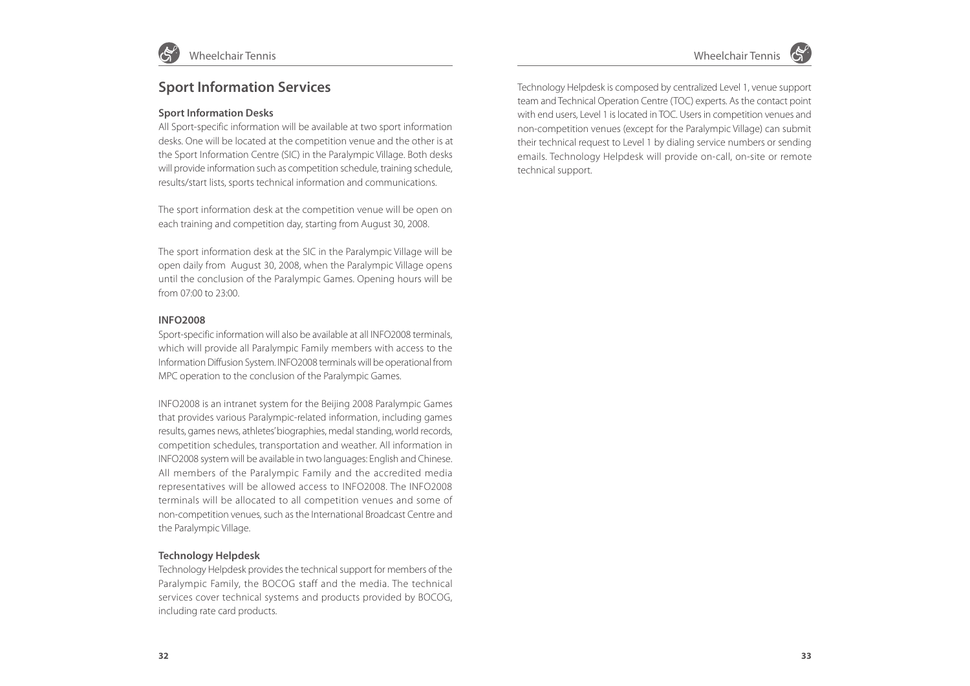

### **Sport Information Services**

#### **Sport Information Desks**

All Sport-specific information will be available at two sport information desks. One will be located at the competition venue and the other is at the Sport Information Centre (SIC) in the Paralympic Village. Both desks will provide information such as competition schedule, training schedule, results/start lists, sports technical information and communications.

The sport information desk at the competition venue will be open on each training and competition day, starting from August 30, 2008.

The sport information desk at the SIC in the Paralympic Village will be open daily from August 30, 2008, when the Paralympic Village opens until the conclusion of the Paralympic Games. Opening hours will be from 07:00 to 23:00.

#### **INFO2008**

Sport-specific information will also be available at all INFO2008 terminals, which will provide all Paralympic Family members with access to the Information Diffusion System. INFO2008 terminals will be operational from MPC operation to the conclusion of the Paralympic Games.

INFO2008 is an intranet system for the Beijing 2008 Paralympic Games that provides various Paralympic-related information, including games results, games news, athletes' biographies, medal standing, world records, competition schedules, transportation and weather. All information in INFO2008 system will be available in two languages: English and Chinese. All members of the Paralympic Family and the accredited media representatives will be allowed access to INFO2008. The INFO2008 terminals will be allocated to all competition venues and some of non-competition venues, such as the International Broadcast Centre and the Paralympic Village.

#### **Technology Helpdesk**

Technology Helpdesk provides the technical support for members of the Paralympic Family, the BOCOG staff and the media. The technical services cover technical systems and products provided by BOCOG, including rate card products.

Technology Helpdesk is composed by centralized Level 1, venue support team and Technical Operation Centre (TOC) experts. As the contact point with end users, Level 1 is located in TOC. Users in competition venues and non-competition venues (except for the Paralympic Village) can submit their technical request to Level 1 by dialing service numbers or sending emails. Technology Helpdesk will provide on-call, on-site or remote technical support.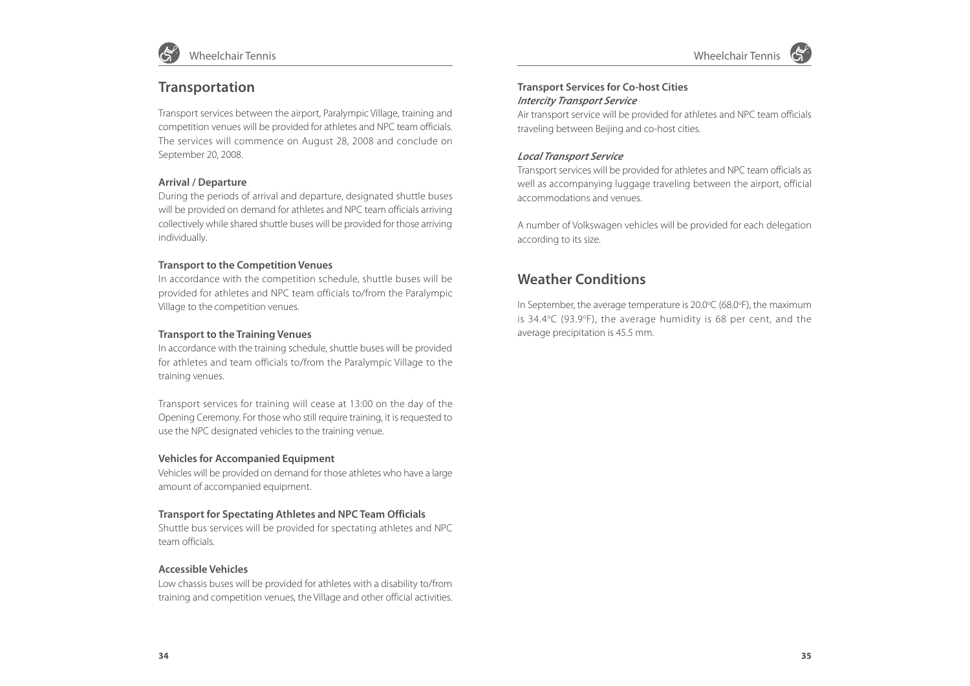

### **Transportation**

Transport services between the airport, Paralympic Village, training and competition venues will be provided for athletes and NPC team officials. The services will commence on August 28, 2008 and conclude on September 20, 2008.

#### **Arrival / Departure**

During the periods of arrival and departure, designated shuttle buses will be provided on demand for athletes and NPC team officials arriving collectively while shared shuttle buses will be provided for those arriving individually.

#### **Transport to the Competition Venues**

In accordance with the competition schedule, shuttle buses will be provided for athletes and NPC team officials to/from the Paralympic Village to the competition venues.

#### **Transport to the Training Venues**

In accordance with the training schedule, shuttle buses will be provided for athletes and team officials to/from the Paralympic Village to the training venues.

Transport services for training will cease at 13:00 on the day of the Opening Ceremony. For those who still require training, it is requested to use the NPC designated vehicles to the training venue.

#### **Vehicles for Accompanied Equipment**

Vehicles will be provided on demand for those athletes who have a large amount of accompanied equipment.

#### **Transport for Spectating Athletes and NPC Team Officials**

Shuttle bus services will be provided for spectating athletes and NPC team officials.

#### **Accessible Vehicles**

Low chassis buses will be provided for athletes with a disability to/from training and competition venues, the Village and other official activities.

#### **Transport Services for Co-host Cities** *Intercity Transport Service*

Air transport service will be provided for athletes and NPC team officials traveling between Beijing and co-host cities.

#### *Local Transport Service*

Transport services will be provided for athletes and NPC team officials as well as accompanying luggage traveling between the airport, official accommodations and venues.

A number of Volkswagen vehicles will be provided for each delegation according to its size.

## **Weather Conditions**

In September, the average temperature is 20.0°C (68.0°F), the maximum is  $34.4^{\circ}$ C (93.9 $^{\circ}$ F), the average humidity is 68 per cent, and the average precipitation is 45.5 mm.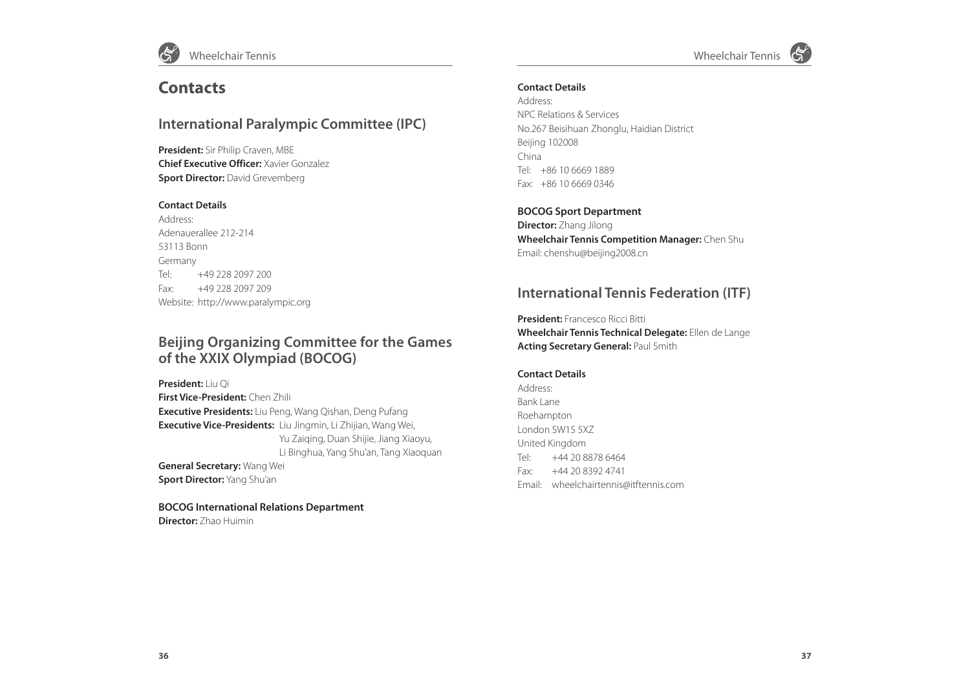



## **Contacts**

### **International Paralympic Committee (IPC)**

**President:** Sir Philip Craven, MBE **Chief Executive Officer:** Xavier Gonzalez **Sport Director: David Grevemberg** 

#### **Contact Details**

Address: Adenauerallee 212-214 53113 Bonn Germany Tel: +49 228 2097 200 Fax: +49 228 2097 209 Website: http://www.paralympic.org

### **Beijing Organizing Committee for the Games of the XXIX Olympiad (BOCOG)**

**President:** Liu Qi **First Vice-President:** Chen Zhili **Executive Presidents:** Liu Peng, Wang Qishan, Deng Pufang **Executive Vice-Presidents:** Liu Jingmin, Li Zhijian, Wang Wei, Yu Zaiqing, Duan Shijie, Jiang Xiaoyu, Li Binghua, Yang Shu'an, Tang Xiaoquan **General Secretary:** Wang Wei **Sport Director:** Yang Shu'an

**BOCOG International Relations Department Director:** Zhao Huimin

#### **Contact Details**

Address: NPC Relations & Services No.267 Beisihuan Zhonglu, Haidian District Beijing 102008 China Tel: +86 10 6669 1889 Fax: +86 10 6669 0346

#### **BOCOG Sport Department**

**Director:** Zhang Jilong **Wheelchair Tennis Competition Manager:** Chen Shu Email: chenshu@beijing2008.cn

### **International Tennis Federation (ITF)**

**President:** Francesco Ricci Bitti **Wheelchair Tennis Technical Delegate:** Ellen de Lange **Acting Secretary General:** Paul Smith

#### **Contact Details**

Address: Bank Lane Roehampton London SW15 5XZ United Kingdom Tel: +44 20 8878 6464 Fax: +44 20 8392 4741 Email: wheelchairtennis@itftennis.com